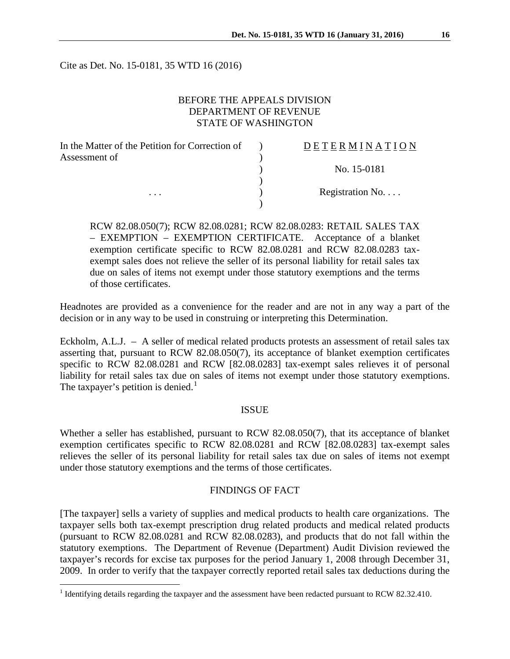Cite as Det. No. 15-0181, 35 WTD 16 (2016)

## BEFORE THE APPEALS DIVISION DEPARTMENT OF REVENUE STATE OF WASHINGTON

| In the Matter of the Petition for Correction of | DETERMINATION   |
|-------------------------------------------------|-----------------|
| Assessment of                                   |                 |
|                                                 | No. 15-0181     |
|                                                 |                 |
| $\cdots$                                        | Registration No |
|                                                 |                 |

RCW 82.08.050(7); RCW 82.08.0281; RCW 82.08.0283: RETAIL SALES TAX – EXEMPTION – EXEMPTION CERTIFICATE. Acceptance of a blanket exemption certificate specific to RCW 82.08.0281 and RCW 82.08.0283 taxexempt sales does not relieve the seller of its personal liability for retail sales tax due on sales of items not exempt under those statutory exemptions and the terms of those certificates.

Headnotes are provided as a convenience for the reader and are not in any way a part of the decision or in any way to be used in construing or interpreting this Determination.

Eckholm, A.L.J. – A seller of medical related products protests an assessment of retail sales tax asserting that, pursuant to RCW 82.08.050(7), its acceptance of blanket exemption certificates specific to RCW 82.08.0281 and RCW [82.08.0283] tax-exempt sales relieves it of personal liability for retail sales tax due on sales of items not exempt under those statutory exemptions. The taxpayer's petition is denied.<sup>[1](#page-0-0)</sup>

#### ISSUE

Whether a seller has established, pursuant to RCW 82.08.050(7), that its acceptance of blanket exemption certificates specific to RCW 82.08.0281 and RCW [82.08.0283] tax-exempt sales relieves the seller of its personal liability for retail sales tax due on sales of items not exempt under those statutory exemptions and the terms of those certificates.

### FINDINGS OF FACT

[The taxpayer] sells a variety of supplies and medical products to health care organizations. The taxpayer sells both tax-exempt prescription drug related products and medical related products (pursuant to RCW 82.08.0281 and RCW 82.08.0283), and products that do not fall within the statutory exemptions. The Department of Revenue (Department) Audit Division reviewed the taxpayer's records for excise tax purposes for the period January 1, 2008 through December 31, 2009. In order to verify that the taxpayer correctly reported retail sales tax deductions during the

<span id="page-0-0"></span><sup>&</sup>lt;sup>1</sup> Identifying details regarding the taxpayer and the assessment have been redacted pursuant to RCW 82.32.410.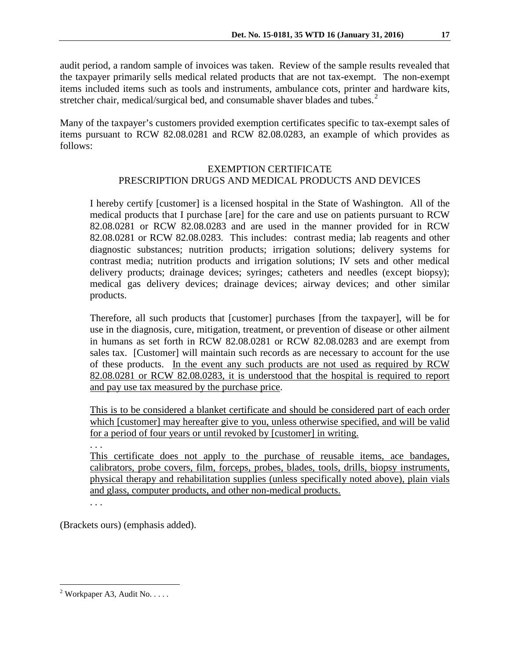audit period, a random sample of invoices was taken. Review of the sample results revealed that the taxpayer primarily sells medical related products that are not tax-exempt. The non-exempt items included items such as tools and instruments, ambulance cots, printer and hardware kits, stretcher chair, medical/surgical bed, and consumable shaver blades and tubes.<sup>[2](#page-1-0)</sup>

Many of the taxpayer's customers provided exemption certificates specific to tax-exempt sales of items pursuant to RCW 82.08.0281 and RCW 82.08.0283, an example of which provides as follows:

## EXEMPTION CERTIFICATE PRESCRIPTION DRUGS AND MEDICAL PRODUCTS AND DEVICES

I hereby certify [customer] is a licensed hospital in the State of Washington. All of the medical products that I purchase [are] for the care and use on patients pursuant to RCW 82.08.0281 or RCW 82.08.0283 and are used in the manner provided for in RCW 82.08.0281 or RCW 82.08.0283. This includes: contrast media; lab reagents and other diagnostic substances; nutrition products; irrigation solutions; delivery systems for contrast media; nutrition products and irrigation solutions; IV sets and other medical delivery products; drainage devices; syringes; catheters and needles (except biopsy); medical gas delivery devices; drainage devices; airway devices; and other similar products.

Therefore, all such products that [customer] purchases [from the taxpayer], will be for use in the diagnosis, cure, mitigation, treatment, or prevention of disease or other ailment in humans as set forth in RCW 82.08.0281 or RCW 82.08.0283 and are exempt from sales tax. [Customer] will maintain such records as are necessary to account for the use of these products. In the event any such products are not used as required by RCW 82.08.0281 or RCW 82.08.0283, it is understood that the hospital is required to report and pay use tax measured by the purchase price.

This is to be considered a blanket certificate and should be considered part of each order which [customer] may hereafter give to you, unless otherwise specified, and will be valid for a period of four years or until revoked by [customer] in writing.

. . .

This certificate does not apply to the purchase of reusable items, ace bandages, calibrators, probe covers, film, forceps, probes, blades, tools, drills, biopsy instruments, physical therapy and rehabilitation supplies (unless specifically noted above), plain vials and glass, computer products, and other non-medical products.

. . .

(Brackets ours) (emphasis added).

<span id="page-1-0"></span><sup>&</sup>lt;sup>2</sup> Workpaper A3, Audit No.  $\dots$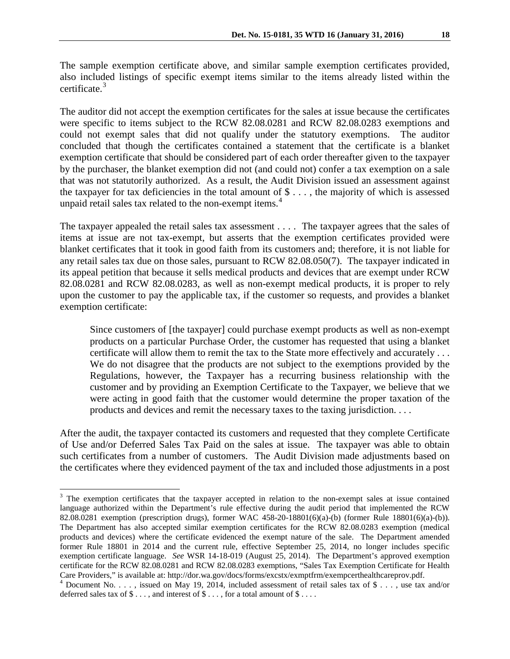The sample exemption certificate above, and similar sample exemption certificates provided, also included listings of specific exempt items similar to the items already listed within the certificate. [3](#page-2-0)

The auditor did not accept the exemption certificates for the sales at issue because the certificates were specific to items subject to the RCW 82.08.0281 and RCW 82.08.0283 exemptions and could not exempt sales that did not qualify under the statutory exemptions. The auditor concluded that though the certificates contained a statement that the certificate is a blanket exemption certificate that should be considered part of each order thereafter given to the taxpayer by the purchaser, the blanket exemption did not (and could not) confer a tax exemption on a sale that was not statutorily authorized. As a result, the Audit Division issued an assessment against the taxpayer for tax deficiencies in the total amount of  $\$\ldots\]$ , the majority of which is assessed unpaid retail sales tax related to the non-exempt items. [4](#page-2-1)

The taxpayer appealed the retail sales tax assessment . . . . The taxpayer agrees that the sales of items at issue are not tax-exempt, but asserts that the exemption certificates provided were blanket certificates that it took in good faith from its customers and; therefore, it is not liable for any retail sales tax due on those sales, pursuant to RCW 82.08.050(7). The taxpayer indicated in its appeal petition that because it sells medical products and devices that are exempt under RCW 82.08.0281 and RCW 82.08.0283, as well as non-exempt medical products, it is proper to rely upon the customer to pay the applicable tax, if the customer so requests, and provides a blanket exemption certificate:

Since customers of [the taxpayer] could purchase exempt products as well as non-exempt products on a particular Purchase Order, the customer has requested that using a blanket certificate will allow them to remit the tax to the State more effectively and accurately . . . We do not disagree that the products are not subject to the exemptions provided by the Regulations, however, the Taxpayer has a recurring business relationship with the customer and by providing an Exemption Certificate to the Taxpayer, we believe that we were acting in good faith that the customer would determine the proper taxation of the products and devices and remit the necessary taxes to the taxing jurisdiction. . . .

After the audit, the taxpayer contacted its customers and requested that they complete Certificate of Use and/or Deferred Sales Tax Paid on the sales at issue. The taxpayer was able to obtain such certificates from a number of customers. The Audit Division made adjustments based on the certificates where they evidenced payment of the tax and included those adjustments in a post

<span id="page-2-0"></span><sup>&</sup>lt;sup>3</sup> The exemption certificates that the taxpayer accepted in relation to the non-exempt sales at issue contained language authorized within the Department's rule effective during the audit period that implemented the RCW 82.08.0281 exemption (prescription drugs), former WAC 458-20-18801(6)(a)-(b) (former Rule 18801(6)(a)-(b)). The Department has also accepted similar exemption certificates for the RCW 82.08.0283 exemption (medical products and devices) where the certificate evidenced the exempt nature of the sale. The Department amended former Rule 18801 in 2014 and the current rule, effective September 25, 2014, no longer includes specific exemption certificate language. *See* WSR 14-18-019 (August 25, 2014). The Department's approved exemption certificate for the RCW 82.08.0281 and RCW 82.08.0283 exemptions, "Sales Tax Exemption Certificate for Health

<span id="page-2-1"></span>Care Providers," is available at: http://dor.wa.gov/docs/forms/excstx/exmptfrm/exempcerthealthcareprov.pdf.<br><sup>4</sup> Document No. . . . , issued on May 19, 2014, included assessment of retail sales tax of \$ . . . , use tax and/ deferred sales tax of  $\$\ldots$$ , and interest of  $\$\ldots$$ , for a total amount of  $\$\ldots$ .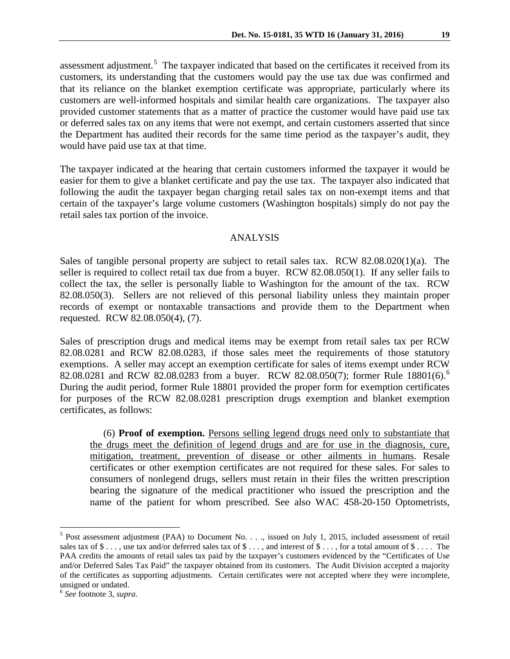assessment adjustment.<sup>[5](#page-3-0)</sup> The taxpayer indicated that based on the certificates it received from its customers, its understanding that the customers would pay the use tax due was confirmed and that its reliance on the blanket exemption certificate was appropriate, particularly where its customers are well-informed hospitals and similar health care organizations. The taxpayer also provided customer statements that as a matter of practice the customer would have paid use tax or deferred sales tax on any items that were not exempt, and certain customers asserted that since the Department has audited their records for the same time period as the taxpayer's audit, they would have paid use tax at that time.

The taxpayer indicated at the hearing that certain customers informed the taxpayer it would be easier for them to give a blanket certificate and pay the use tax. The taxpayer also indicated that following the audit the taxpayer began charging retail sales tax on non-exempt items and that certain of the taxpayer's large volume customers (Washington hospitals) simply do not pay the retail sales tax portion of the invoice.

### ANALYSIS

Sales of tangible personal property are subject to retail sales tax. RCW 82.08.020(1)(a). The seller is required to collect retail tax due from a buyer. RCW 82.08.050(1). If any seller fails to collect the tax, the seller is personally liable to Washington for the amount of the tax. RCW 82.08.050(3). Sellers are not relieved of this personal liability unless they maintain proper records of exempt or nontaxable transactions and provide them to the Department when requested. RCW 82.08.050(4), (7).

Sales of prescription drugs and medical items may be exempt from retail sales tax per RCW 82.08.0281 and RCW 82.08.0283, if those sales meet the requirements of those statutory exemptions. A seller may accept an exemption certificate for sales of items exempt under RCW 82.08.0281 and RCW 82.08.0283 from a buyer. RCW 82.08.050(7); former Rule 18801([6](#page-3-1)).<sup>6</sup> During the audit period, former Rule 18801 provided the proper form for exemption certificates for purposes of the RCW 82.08.0281 prescription drugs exemption and blanket exemption certificates, as follows:

 (6) **Proof of exemption.** Persons selling legend drugs need only to substantiate that the drugs meet the definition of legend drugs and are for use in the diagnosis, cure, mitigation, treatment, prevention of disease or other ailments in humans. Resale certificates or other exemption certificates are not required for these sales. For sales to consumers of nonlegend drugs, sellers must retain in their files the written prescription bearing the signature of the medical practitioner who issued the prescription and the name of the patient for whom prescribed. See also WAC 458-20-150 Optometrists,

<span id="page-3-0"></span> $5$  Post assessment adjustment (PAA) to Document No. . . ., issued on July 1, 2015, included assessment of retail sales tax of  $\$\ldots$ , use tax and/or deferred sales tax of  $\$\ldots$ , and interest of  $\$\ldots$ , for a total amount of  $\$\ldots$ . The PAA credits the amounts of retail sales tax paid by the taxpayer's customers evidenced by the "Certificates of Use and/or Deferred Sales Tax Paid" the taxpayer obtained from its customers. The Audit Division accepted a majority of the certificates as supporting adjustments. Certain certificates were not accepted where they were incomplete, unsigned or undated. <sup>6</sup> *See* footnote 3, *supra*.

<span id="page-3-1"></span>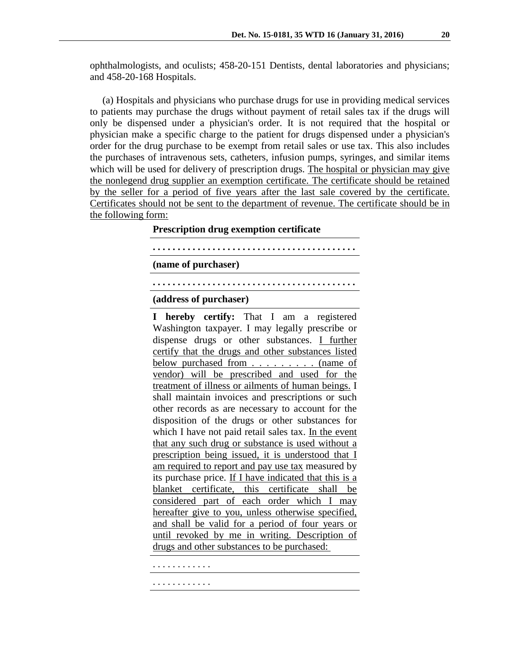ophthalmologists, and oculists; 458-20-151 Dentists, dental laboratories and physicians; and 458-20-168 Hospitals.

 (a) Hospitals and physicians who purchase drugs for use in providing medical services to patients may purchase the drugs without payment of retail sales tax if the drugs will only be dispensed under a physician's order. It is not required that the hospital or physician make a specific charge to the patient for drugs dispensed under a physician's order for the drug purchase to be exempt from retail sales or use tax. This also includes the purchases of intravenous sets, catheters, infusion pumps, syringes, and similar items which will be used for delivery of prescription drugs. The hospital or physician may give the nonlegend drug supplier an exemption certificate. The certificate should be retained by the seller for a period of five years after the last sale covered by the certificate. Certificates should not be sent to the department of revenue. The certificate should be in the following form:

### **Prescription drug exemption certificate**

**. . . . . . . . . . . . . . . . . . . . . . . . . . . . . . . . . . . . . . . . .** 

**(name of purchaser)**

## **. . . . . . . . . . . . . . . . . . . . . . . . . . . . . . . . . . . . . . . . .**

### **(address of purchaser)**

**I hereby certify:** That I am a registered Washington taxpayer. I may legally prescribe or dispense drugs or other substances. I further certify that the drugs and other substances listed below purchased from . . . . . . . . . (name of vendor) will be prescribed and used for the treatment of illness or ailments of human beings. I shall maintain invoices and prescriptions or such other records as are necessary to account for the disposition of the drugs or other substances for which I have not paid retail sales tax. In the event that any such drug or substance is used without a prescription being issued, it is understood that I am required to report and pay use tax measured by its purchase price. If I have indicated that this is a blanket certificate, this certificate shall be considered part of each order which I may hereafter give to you, unless otherwise specified, and shall be valid for a period of four years or until revoked by me in writing. Description of drugs and other substances to be purchased:

. . . . . . . . . . . .

. . . . . . . . . . . .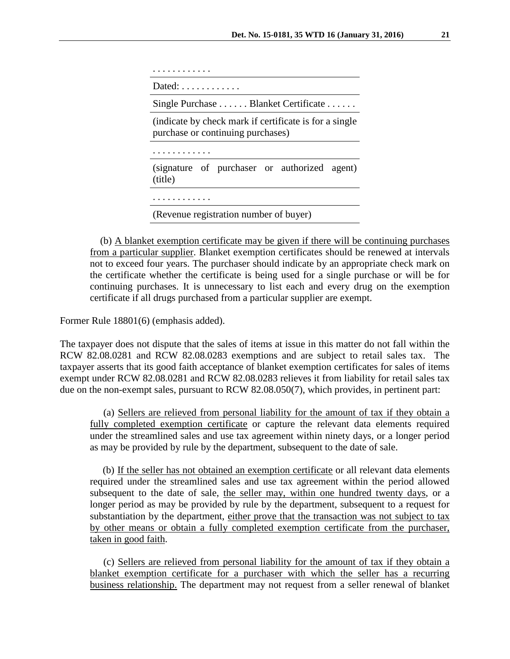| Dated: $\ldots$ , $\ldots$ ,                                                                |  |  |
|---------------------------------------------------------------------------------------------|--|--|
| Single Purchase  Blanket Certificate                                                        |  |  |
| (indicate by check mark if certificate is for a single<br>purchase or continuing purchases) |  |  |
|                                                                                             |  |  |
| (signature of purchaser or authorized agent)<br>(title)                                     |  |  |
|                                                                                             |  |  |
| (Revenue registration number of buyer)                                                      |  |  |

 (b) A blanket exemption certificate may be given if there will be continuing purchases from a particular supplier. Blanket exemption certificates should be renewed at intervals not to exceed four years. The purchaser should indicate by an appropriate check mark on the certificate whether the certificate is being used for a single purchase or will be for continuing purchases. It is unnecessary to list each and every drug on the exemption certificate if all drugs purchased from a particular supplier are exempt.

Former Rule 18801(6) (emphasis added).

The taxpayer does not dispute that the sales of items at issue in this matter do not fall within the RCW 82.08.0281 and RCW 82.08.0283 exemptions and are subject to retail sales tax. The taxpayer asserts that its good faith acceptance of blanket exemption certificates for sales of items exempt under RCW 82.08.0281 and RCW 82.08.0283 relieves it from liability for retail sales tax due on the non-exempt sales, pursuant to RCW 82.08.050(7), which provides, in pertinent part:

 (a) Sellers are relieved from personal liability for the amount of tax if they obtain a fully completed exemption certificate or capture the relevant data elements required under the streamlined sales and use tax agreement within ninety days, or a longer period as may be provided by rule by the department, subsequent to the date of sale.

 (b) If the seller has not obtained an exemption certificate or all relevant data elements required under the streamlined sales and use tax agreement within the period allowed subsequent to the date of sale, the seller may, within one hundred twenty days, or a longer period as may be provided by rule by the department, subsequent to a request for substantiation by the department, either prove that the transaction was not subject to tax by other means or obtain a fully completed exemption certificate from the purchaser, taken in good faith.

 (c) Sellers are relieved from personal liability for the amount of tax if they obtain a blanket exemption certificate for a purchaser with which the seller has a recurring business relationship. The department may not request from a seller renewal of blanket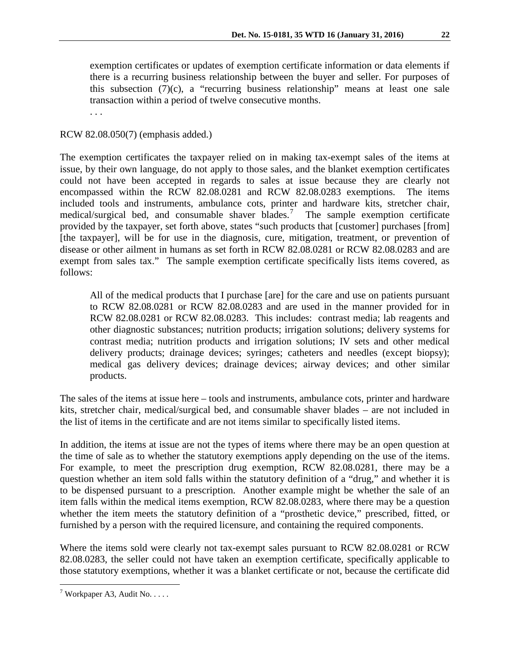exemption certificates or updates of exemption certificate information or data elements if there is a recurring business relationship between the buyer and seller. For purposes of this subsection  $(\overline{7})(c)$ , a "recurring business relationship" means at least one sale transaction within a period of twelve consecutive months.

. . .

RCW 82.08.050(7) (emphasis added.)

The exemption certificates the taxpayer relied on in making tax-exempt sales of the items at issue, by their own language, do not apply to those sales, and the blanket exemption certificates could not have been accepted in regards to sales at issue because they are clearly not encompassed within the RCW 82.08.0281 and RCW 82.08.0283 exemptions. The items included tools and instruments, ambulance cots, printer and hardware kits, stretcher chair, medical/surgical bed, and consumable shaver blades.<sup>[7](#page-6-0)</sup> The sample exemption certificate provided by the taxpayer, set forth above, states "such products that [customer] purchases [from] [the taxpayer], will be for use in the diagnosis, cure, mitigation, treatment, or prevention of disease or other ailment in humans as set forth in RCW 82.08.0281 or RCW 82.08.0283 and are exempt from sales tax." The sample exemption certificate specifically lists items covered, as follows:

All of the medical products that I purchase [are] for the care and use on patients pursuant to RCW 82.08.0281 or RCW 82.08.0283 and are used in the manner provided for in RCW 82.08.0281 or RCW 82.08.0283. This includes: contrast media; lab reagents and other diagnostic substances; nutrition products; irrigation solutions; delivery systems for contrast media; nutrition products and irrigation solutions; IV sets and other medical delivery products; drainage devices; syringes; catheters and needles (except biopsy); medical gas delivery devices; drainage devices; airway devices; and other similar products.

The sales of the items at issue here – tools and instruments, ambulance cots, printer and hardware kits, stretcher chair, medical/surgical bed, and consumable shaver blades – are not included in the list of items in the certificate and are not items similar to specifically listed items.

In addition, the items at issue are not the types of items where there may be an open question at the time of sale as to whether the statutory exemptions apply depending on the use of the items. For example, to meet the prescription drug exemption, RCW 82.08.0281, there may be a question whether an item sold falls within the statutory definition of a "drug," and whether it is to be dispensed pursuant to a prescription. Another example might be whether the sale of an item falls within the medical items exemption, RCW 82.08.0283, where there may be a question whether the item meets the statutory definition of a "prosthetic device," prescribed, fitted, or furnished by a person with the required licensure, and containing the required components.

Where the items sold were clearly not tax-exempt sales pursuant to RCW 82.08.0281 or RCW 82.08.0283, the seller could not have taken an exemption certificate, specifically applicable to those statutory exemptions, whether it was a blanket certificate or not, because the certificate did

<span id="page-6-0"></span><sup>&</sup>lt;sup>7</sup> Workpaper A3, Audit No.  $\dots$